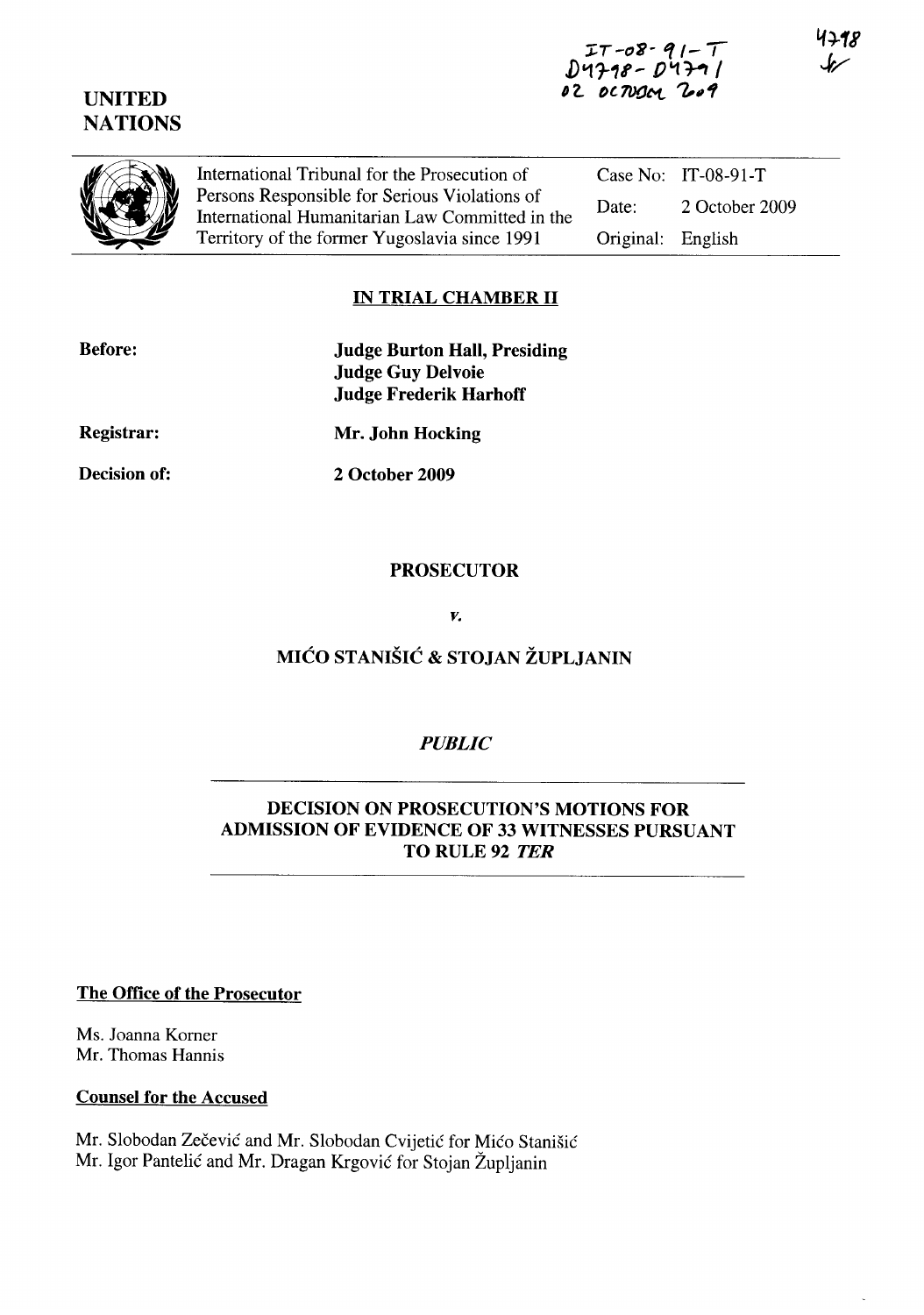## **UNITED NATIONS**

Case No: IT-08-91-T

Original: English

Date: 2 October 2009



International Tribunal for the Prosecution of Persons Responsible for Serious Violations of International Humanitarian Law Committed in the Territory of the former Yugoslavia since 1991

## **IN TRIAL CHAMBER 11**

| <b>Before:</b>    | <b>Judge Burton Hall, Presiding</b><br><b>Judge Guy Delvoie</b> |
|-------------------|-----------------------------------------------------------------|
|                   | <b>Judge Frederik Harhoff</b>                                   |
| <b>Registrar:</b> | Mr. John Hocking                                                |
| Decision of:      | 2 October 2009                                                  |
|                   |                                                                 |

### **PROSECUTOR**

*v.* 

## **MICO STANISIC & STOJAN ZUPLJANIN**

## *PUBLIC*

### **DECISION ON PROSECUTION'S MOTIONS FOR ADMISSION OF EVIDENCE OF 33 WITNESSES PURSUANT**  TO RULE 92 *TER*

**The Office of the Prosecutor** 

Ms. Joanna Korner Mr. Thomas Hannis

#### **Counsel for the Accused**

Mr. Slobodan Zečević and Mr. Slobodan Cvijetić for Mićo Stanišić Mr. Igor Pantelic and Mr. Dragan Krgovic for Stojan Zupljanin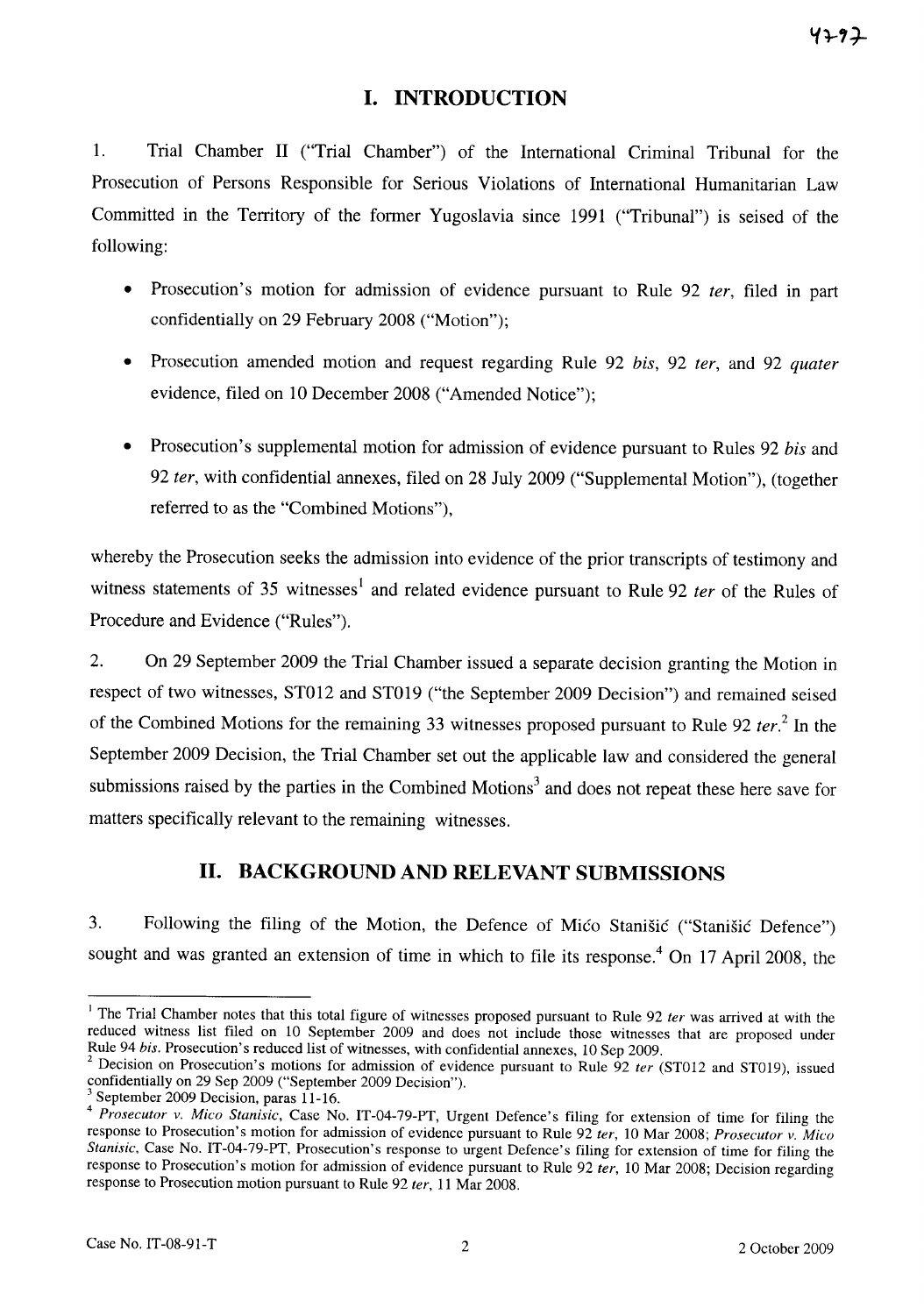## **I. INTRODUCTION**

1. Trial Chamber 11 ("Trial Chamber") of the International Criminal Tribunal for the Prosecution of Persons Responsible for Serious Violations of International Humanitarian Law Committed in the Territory of the former Yugoslavia since 1991 ("Tribunal") is seised of the following:

- Prosecution's motion for admission of evidence pursuant to Rule 92 *ter*, filed in part confidentially on 29 February 2008 ("Motion");
- Prosecution amended motion and request regarding Rule 92 *his,* 92 *ter,* and 92 *quater*  evidence, filed on 10 December 2008 ("Amended Notice");
- Prosecution's supplemental motion for admission of evidence pursuant to Rules 92 *his* and *92 ter,* with confidential annexes, filed on 28 July 2009 ("Supplemental Motion"), (together referred to as the "Combined Motions"),

whereby the Prosecution seeks the admission into evidence of the prior transcripts of testimony and witness statements of 35 witnesses<sup>1</sup> and related evidence pursuant to Rule 92 *ter* of the Rules of Procedure and Evidence ("Rules").

2. On 29 September 2009 the Trial Chamber issued a separate decision granting the Motion in respect of two witnesses, ST012 and ST019 ("the September 2009 Decision") and remained seised of the Combined Motions for the remaining 33 witnesses proposed pursuant to Rule 92 *ter. <sup>2</sup>***In** the September 2009 Decision, the Trial Chamber set out the applicable law and considered the general submissions raised by the parties in the Combined Motions<sup>3</sup> and does not repeat these here save for matters specifically relevant to the remaining witnesses.

# **11. BACKGROUND AND RELEVANT SUBMISSIONS**

3. Following the filing of the Motion, the Defence of Mico StaniSic ("Stanisic Defence") sought and was granted an extension of time in which to file its response.<sup>4</sup> On 17 April 2008, the

<sup>&</sup>lt;sup>1</sup> The Trial Chamber notes that this total figure of witnesses proposed pursuant to Rule 92 *ter* was arrived at with the reduced witness list filed on 10 September 2009 and does not include those witnesses that are proposed under Rule 94 *his.* Prosecution's reduced list of witnesses, with confidential annexes, 10 Sep 2009.

<sup>2</sup> Decision on Prosecution's motions for admission of evidence pursuant to Rule 92 *ter* (ST012 and ST019), issued confidentially on 29 Sep 2009 ("September 2009 Decision").

<sup>3</sup> September 2009 Decision, paras 11-16.

<sup>4</sup>*Prosecutor v. Mico Stanisic,* Case No. 1T-04-79-PT, Urgent Defence's filing for extension of time for filing the response to Prosecution's motion for admission of evidence pursuant to Rule 92 *ter,* 10 Mar 2008; *Prosecutor v. Mico Stanisic,* Case No. IT-04-79-PT, Prosecution's response to urgent Defence's filing for extension of time for filing the response to Prosecution's motion for admission of evidence pursuant to Rule 92 *ter,* 10 Mar 2008; Decision regarding response to Prosecution motion pursuant to Rule 92 *ter,* 11 Mar 2008.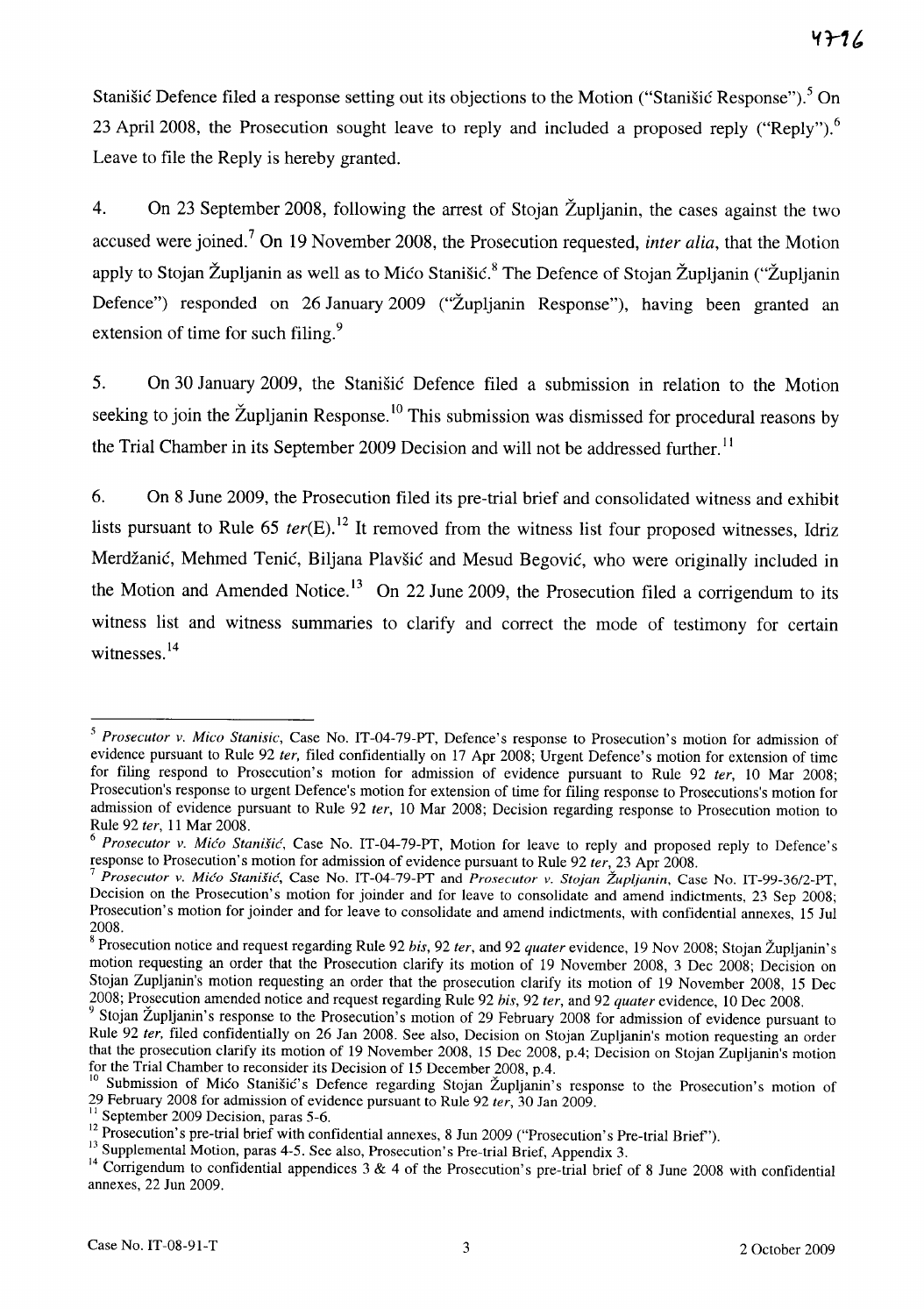Stanišić Defence filed a response setting out its objections to the Motion ("Stanišić Response").<sup>5</sup> On 23 April 2008, the Prosecution sought leave to reply and included a proposed reply ("Reply").<sup>6</sup> Leave to file the Reply is hereby granted.

4. On 23 September 2008, following the arrest of Stojan Zupljanin, the cases against the two accused were joined.7 On 19 November 2008, the Prosecution requested, *inter alia,* that the Motion apply to Stojan Župljanin as well as to Mićo Stanišić.<sup>8</sup> The Defence of Stojan Župljanin ("Župljanin") Defence") responded on 26 January 2009 ("Zupljanin Response"), having been granted an extension of time for such filing.<sup>9</sup>

5. On 30 January 2009, the Stanisic Defence filed a submission in relation to the Motion seeking to join the Župljanin Response.<sup>10</sup> This submission was dismissed for procedural reasons by the Trial Chamber in its September 2009 Decision and will not be addressed further.<sup>11</sup>

6. On 8 June 2009, the Prosecution filed its pre-trial brief and consolidated witness and exhibit lists pursuant to Rule 65 *ter*(E).<sup>12</sup> It removed from the witness list four proposed witnesses, Idriz Merdžanić, Mehmed Tenić, Biljana Plavšić and Mesud Begović, who were originally included in the Motion and Amended Notice.<sup>13</sup> On 22 June 2009, the Prosecution filed a corrigendum to its witness list and witness summaries to clarify and correct the mode of testimony for certain witnesses.<sup>14</sup>

*<sup>5</sup> Prosecutor v. Mico Stanisic,* Case No. IT-04-79-PT, Defence's response to Prosecution's motion for admission of evidence pursuant to Rule 92 *fer,* filed confidentially on 17 Apr 2008; Urgent Defence's motion for extension of time for filing respond to Prosecution's motion for admission of evidence pursuant to Rule 92 *ter,* 10 Mar 2008; Prosecution's response to urgent Defence's motion for extension of time for filing response to Prosecutions's motion for admission of evidence pursuant to Rule 92 *ter,* 10 Mar 2008; Decision regarding response to Prosecution motion to Rule 92 *ter,* 11 Mar 2008.

*Prosecutor v. Mićo Stanišić*, Case No. IT-04-79-PT, Motion for leave to reply and proposed reply to Defence's response to Prosecution's motion for admission of evidence pursuant to Rule 92 *fer,* 23 Apr 2008.

<sup>7</sup>*Prosecutor v. Mico Stanisic',* Case No. IT-04-79-PT and *Prosecutor v. Stojan* tup~janin, Case No. IT-99-3612-PT, Decision on the Prosecution's motion for joinder and for leave to consolidate and amend indictments, 23 Sep 2008; Prosecution's motion for joinder and for leave to consolidate and amend indictments, with confidential annexes, 15 Jul 2008.

<sup>8</sup> Prosecution notice and request regarding Rule 92 *his,* 92 *ter,* and 92 *quater* evidence, 19 Nov 2008; Stojan Zupljanin's motion requesting an order that the Prosecution clarify its motion of 19 November 2008, 3 Dec 2008; Decision on Stojan Zupljanin's motion requesting an order that the prosecution clarify its motion of 19 November 2008, 15 Dec 2008; Prosecution amended notice and request regarding Rule 92 *his,* 92 *ter,* and 92 *quater* evidence, 10 Dec 2008.

<sup>&</sup>lt;sup>9</sup> Stojan Župljanin's response to the Prosecution's motion of 29 February 2008 for admission of evidence pursuant to Rule 92 *ter,* filed confidentially on 26 Jan 2008. See also, Decision on Stojan Zupljanin's motion requesting an order that the prosecution clarify its motion of 19 November 2008, 15 Dec 2008, p.4; Decision on Stojan Zupljanin's motion for the Trial Chamber to reconsider its Decision of 15 December 2008, p.4.

<sup>&</sup>lt;sup>10</sup> Submission of Mico Stanišic's Defence regarding Stojan Župljanin's response to the Prosecution's motion of 29 February 2008 for admission of evidence pursuant to Rule 92 *ter,* 30 Jan 2009.

<sup>&</sup>lt;sup>11</sup> September 2009 Decision, paras 5-6.

<sup>&</sup>lt;sup>12</sup> Prosecution's pre-trial brief with confidential annexes, 8 Jun 2009 ("Prosecution's Pre-trial Brief").

<sup>&</sup>lt;sup>13</sup> Supplemental Motion, paras 4-5. See also, Prosecution's Pre-trial Brief, Appendix 3.

<sup>&</sup>lt;sup>14</sup> Corrigendum to confidential appendices 3 & 4 of the Prosecution's pre-trial brief of 8 June 2008 with confidential annexes, 22 Jun 2009.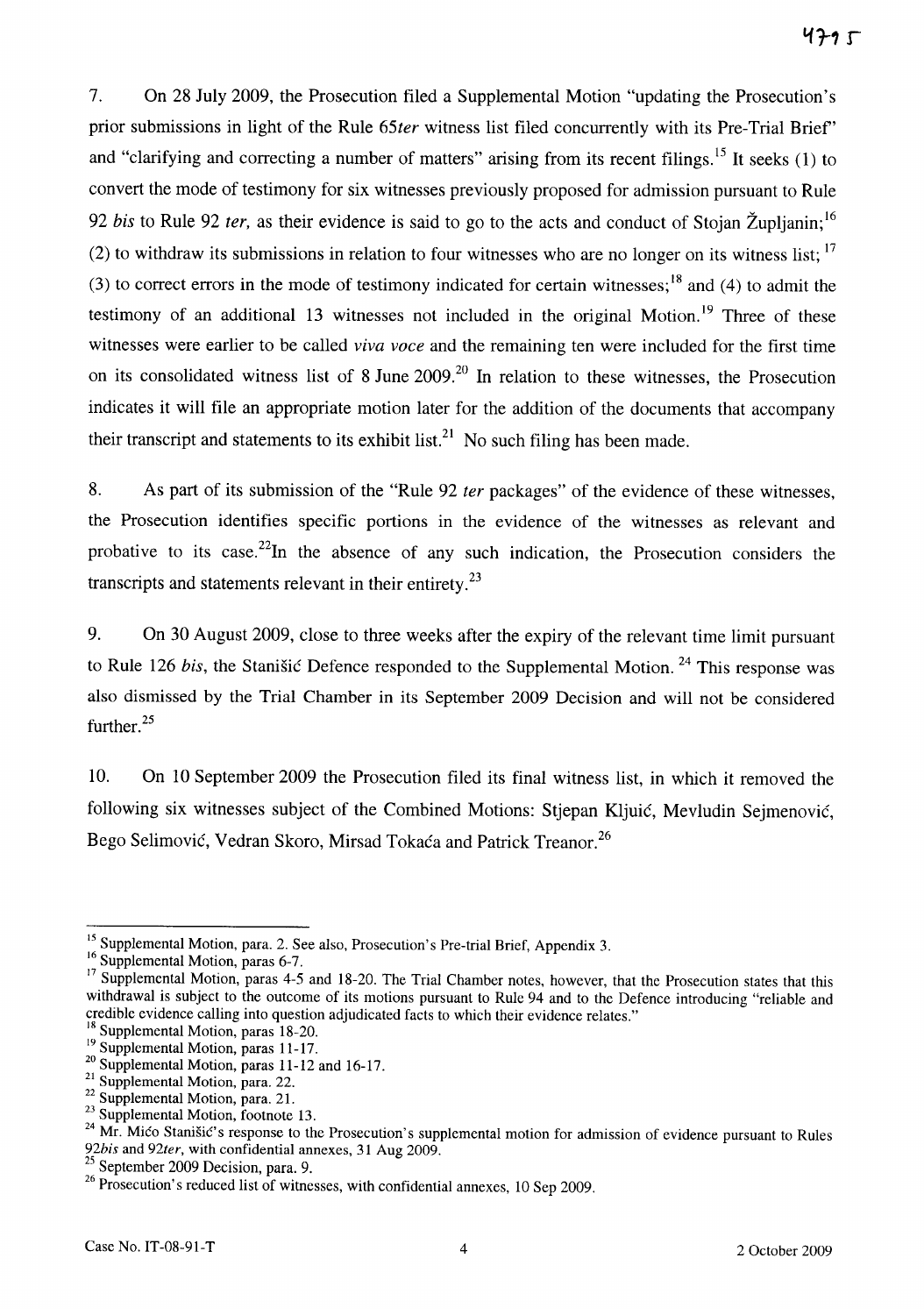7. On 28 July 2009, the Prosecution filed a Supplemental Motion "updating the Prosecution's prior submissions in light of the Rule *65ter* witness list filed concurrently with its Pre-Trial Brief' and "clarifying and correcting a number of matters" arising from its recent filings.<sup>15</sup> It seeks (1) to convert the mode of testimony for six witnesses previously proposed for admission pursuant to Rule *92 his* to Rule 92 *fer,* as their evidence is said to go to the acts and conduct of Stojan Zupljanin; 16 (2) to withdraw its submissions in relation to four witnesses who are no longer on its witness list:  $17$ (3) to correct errors in the mode of testimony indicated for certain witnesses;<sup>18</sup> and (4) to admit the testimony of an additional 13 witnesses not included in the original Motion.<sup>19</sup> Three of these witnesses were earlier to be called *viva voce* and the remaining ten were included for the first time on its consolidated witness list of 8 June 2009.<sup>20</sup> In relation to these witnesses, the Prosecution indicates it will file an appropriate motion later for the addition of the documents that accompany their transcript and statements to its exhibit list.<sup>21</sup> No such filing has been made.

8. As part of its submission of the "Rule 92 *ter* packages" of the evidence of these witnesses, the Prosecution identifies specific portions in the evidence of the witnesses as relevant and probative to its case.<sup>22</sup>In the absence of any such indication, the Prosecution considers the transcripts and statements relevant in their entirety. $^{23}$ 

9. On 30 August 2009, close to three weeks after the expiry of the relevant time limit pursuant to Rule 126 *bis*, the Stanišić Defence responded to the Supplemental Motion.<sup>24</sup> This response was also dismissed by the Trial Chamber in its September 2009 Decision and will not be considered further.<sup>25</sup>

10. On 10 September 2009 the Prosecution filed its final witness list, in which it removed the following six witnesses subject of the Combined Motions: Stjepan Kljuić, Mevludin Sejmenović, Bego Selimović, Vedran Skoro, Mirsad Tokaća and Patrick Treanor.<sup>26</sup>

<sup>&</sup>lt;sup>15</sup> Supplemental Motion, para. 2. See also, Prosecution's Pre-trial Brief, Appendix 3.

<sup>&</sup>lt;sup>16</sup> Supplemental Motion, paras 6-7.

<sup>&</sup>lt;sup>17</sup> Supplemental Motion, paras  $4-5$  and 18-20. The Trial Chamber notes, however, that the Prosecution states that this withdrawal is subject to the outcome of its motions pursuant to Rule 94 and to the Defence introducing "reliable and credible evidence calling into question adjudicated facts to which their evidence relates."

<sup>&</sup>lt;sup>18</sup> Supplemental Motion, paras 18-20.

 $19$  Supplemental Motion, paras 11-17.

<sup>&</sup>lt;sup>20</sup> Supplemental Motion, paras 11-12 and 16-17.

 $\frac{21}{1}$  Supplemental Motion, para. 22.

 $\frac{22}{1}$  Supplemental Motion, para. 21.

<sup>&</sup>lt;sup>23</sup> Supplemental Motion, footnote 13.

<sup>&</sup>lt;sup>24</sup> Mr. Mico Stanišic's response to the Prosecution's supplemental motion for admission of evidence pursuant to Rules *92bis* and *92ter,* with confidential annexes, 31 Aug 2009.

<sup>&</sup>lt;sup>25</sup> September 2009 Decision, para. 9.

<sup>&</sup>lt;sup>26</sup> Prosecution's reduced list of witnesses, with confidential annexes, 10 Sep 2009.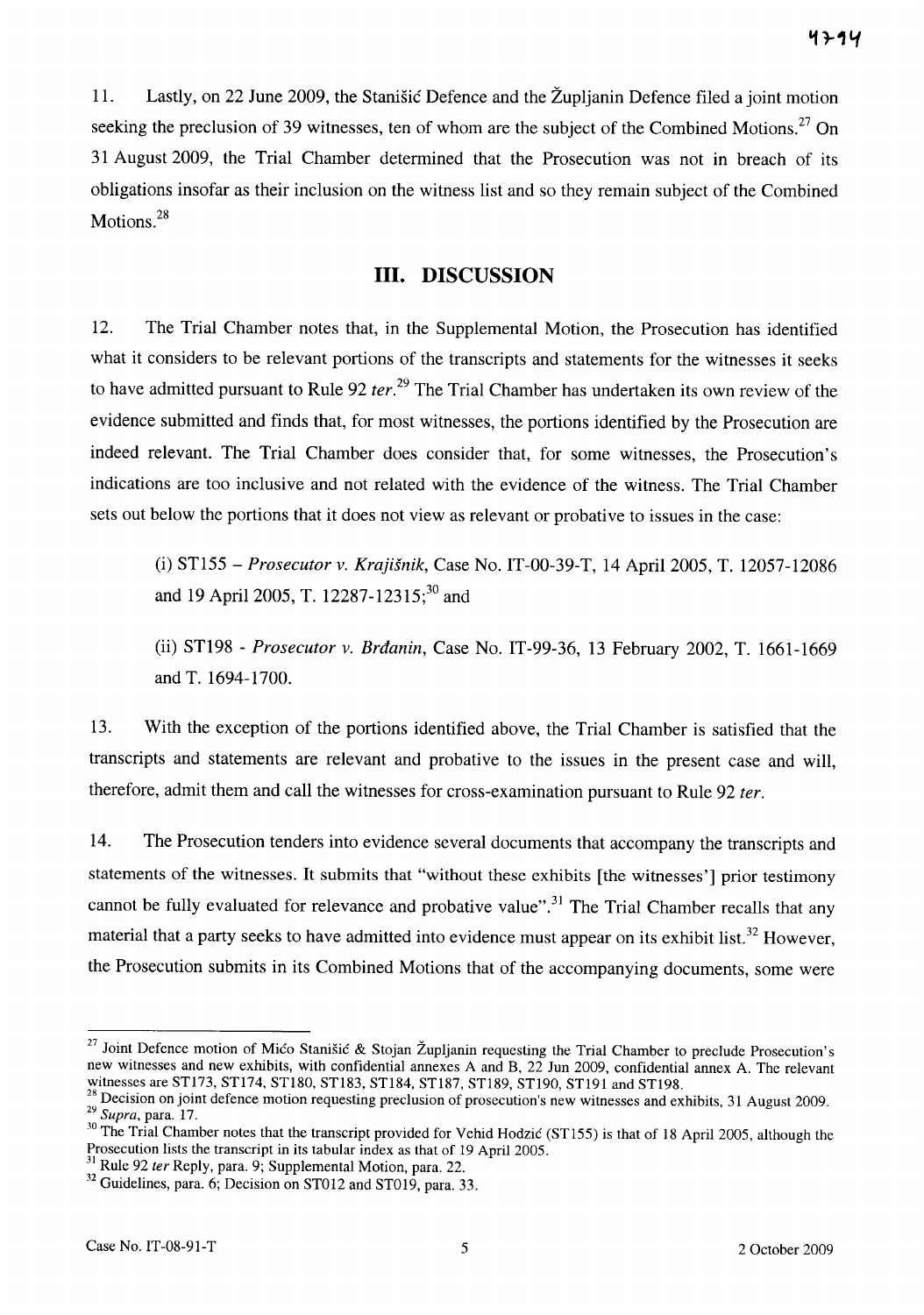11. Lastly, on 22 June 2009, the Stanisic Defence and the Zupljanin Defence filed a joint motion seeking the preclusion of 39 witnesses, ten of whom are the subject of the Combined Motions.<sup>27</sup> On 31 August 2009, the Trial Chamber determined that the Prosecution was not in breach of its obligations insofar as their inclusion on the witness list and so they remain subject of the Combined Motions.<sup>28</sup>

### **Ill. DISCUSSION**

12. The Trial Chamber notes that, in the Supplemental Motion, the Prosecution has identified what it considers to be relevant portions of the transcripts and statements for the witnesses it seeks to have admitted pursuant to Rule 92 *ter*.<sup>29</sup> The Trial Chamber has undertaken its own review of the evidence submitted and finds that, for most witnesses, the portions identified by the Prosecution are indeed relevant. The Trial Chamber does consider that, for some witnesses, the Prosecution's indications are too inclusive and not related with the evidence of the witness. The Trial Chamber sets out below the portions that it does not view as relevant or probative to issues in the case:

(i) ST155 - *Prosecutor v. Krajisnik,* Case No. IT-00-39-T, 14 April 2005, T. 12057-12086 and 19 April 2005, T. 12287-12315;<sup>30</sup> and

(ii) ST198 - *Prosecutor v. Brdanin,* Case No. IT-99-36, 13 February 2002, T. 1661-1669 and T. 1694-1700.

13. With the exception of the portions identified above, the Trial Chamber is satisfied that the transcripts and statements are relevant and probative to the issues in the present case and will, therefore, admit them and call the witnesses for cross-examination pursuant to Rule 92 *ter.* 

14. The Prosecution tenders into evidence several documents that accompany the transcripts and statements of the witnesses. It submits that "without these exhibits [the witnesses'] prior testimony cannot be fully evaluated for relevance and probative value".<sup>31</sup> The Trial Chamber recalls that any material that a party seeks to have admitted into evidence must appear on its exhibit list.<sup>32</sup> However, the Prosecution submits in its Combined Motions that of the accompanying documents, some were

<sup>&</sup>lt;sup>27</sup> Joint Defence motion of Mico Stanišic & Stojan Župljanin requesting the Trial Chamber to preclude Prosecution's new witnesses and new exhibits, with confidential annexes A and B, 22 Jun 2009, confidential annex A. The relevant witnesses are ST173, STl74, STl80, STl83, STl84, STl87, STl89, STl90, STl91 and STl98.

 $\frac{28}{2}$  Decision on joint defence motion requesting preclusion of prosecution's new witnesses and exhibits, 31 August 2009. *29 Supra,* para. 17.

<sup>&</sup>lt;sup>30</sup> The Trial Chamber notes that the transcript provided for Vehid Hodzic (ST155) is that of 18 April 2005, although the Prosecution lists the transcript in its tabular index as that of 19 April 2005.

 $31$  Rule 92 ter Reply, para. 9; Supplemental Motion, para. 22.

<sup>&</sup>lt;sup>32</sup> Guidelines, para. 6; Decision on ST012 and ST019, para. 33.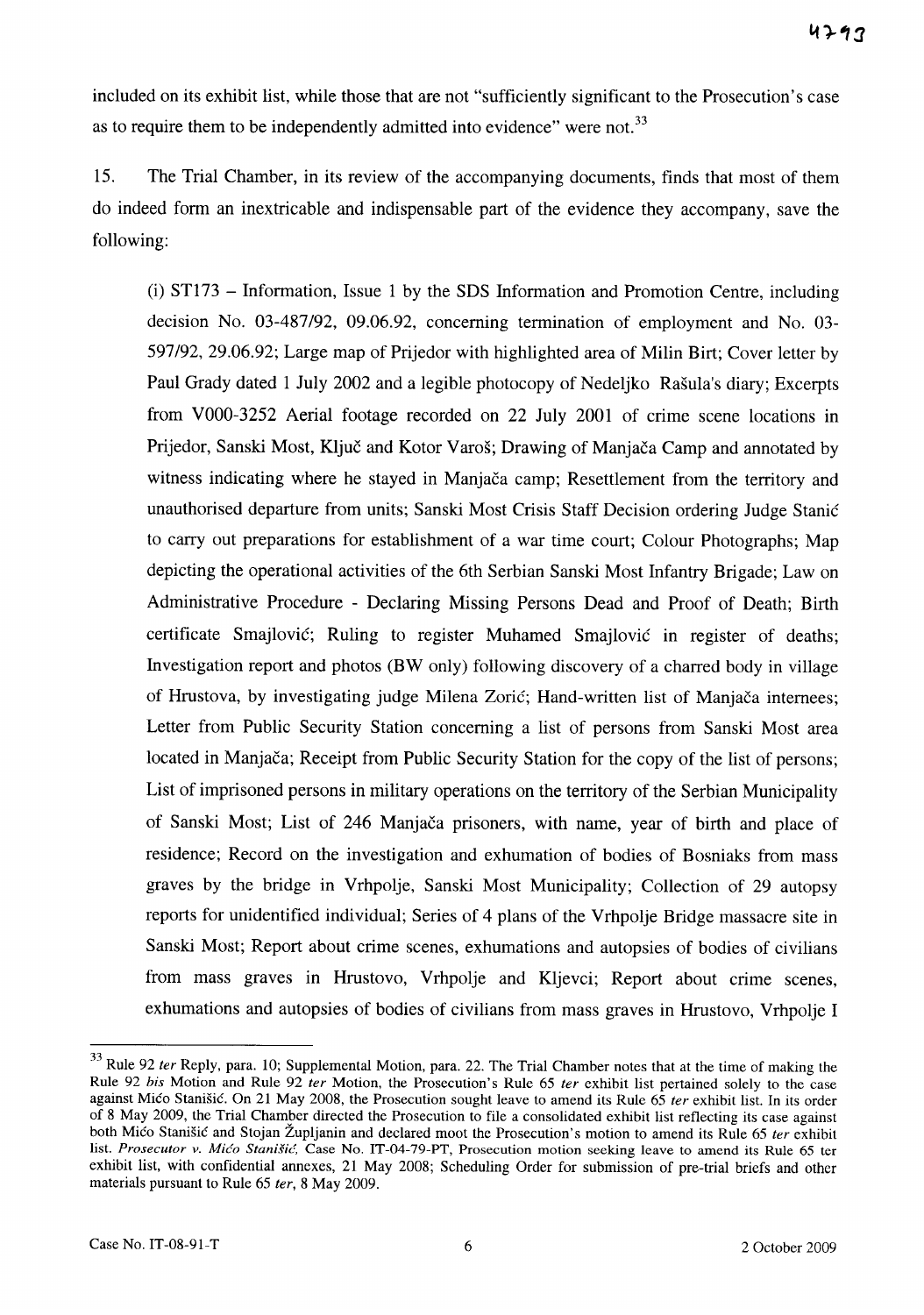included on its exhibit list, while those that are not "sufficiently significant to the Prosecution's case as to require them to be independently admitted into evidence" were not.<sup>33</sup>

15. The Trial Chamber, in its review of the accompanying documents, finds that most of them do indeed form an inextricable and indispensable part of the evidence they accompany, save the following:

(i) ST173 - Information, Issue 1 by the SDS Information and Promotion Centre, including decision No. 03-487/92, 09.06.92, concerning termination of employment and No. 03- 597/92, 29.06.92; Large map of Prijedor with highlighted area of Milin Birt; Cover letter by Paul Grady dated 1 July 2002 and a legible photocopy of Nedeljko Rašula's diary; Excerpts from VOOO-3252 Aerial footage recorded on 22 July 2001 of crime scene locations in Prijedor, Sanski Most, Ključ and Kotor Varoš; Drawing of Manjača Camp and annotated by witness indicating where he stayed in Manjača camp; Resettlement from the territory and unauthorised departure from units; Sanski Most Crisis Staff Decision ordering Judge Stanić to carry out preparations for establishment of a war time court; Colour Photographs; Map depicting the operational activities of the 6th Serbian Sanski Most Infantry Brigade; Law on Administrative Procedure - Declaring Missing Persons Dead and Proof of Death; Birth certificate Smajlovic; Ruling to register Muhamed Smajlovic in register of deaths; Investigation report and photos (BW only) following discovery of a charred body in village of Hrustova, by investigating judge Milena Zoric; Hand-written list of Manjaca internees; Letter from Public Security Station concerning a list of persons from Sanski Most area located in Manjača; Receipt from Public Security Station for the copy of the list of persons; List of imprisoned persons in military operations on the territory of the Serbian Municipality of Sanski Most; List of 246 Manjaca prisoners, with name, year of birth and place of residence; Record on the investigation and exhumation of bodies of Bosniaks from mass graves by the bridge in Vrhpolje, Sanski Most Municipality; Collection of 29 autopsy reports for unidentified individual; Series of 4 plans of the Vrhpolje Bridge massacre site in Sanski Most; Report about crime scenes, exhumations and autopsies of bodies of civilians from mass graves in Hrustovo, Vrhpolje and Kljevci; Report about crime scenes, exhumations and autopsies of bodies of civilians from mass graves in Hrustovo, Vrhpolje I

<sup>&</sup>lt;sup>33</sup> Rule 92 ter Reply, para. 10; Supplemental Motion, para. 22. The Trial Chamber notes that at the time of making the Rule 92 *bis* Motion and Rule 92 *ter* Motion, the Prosecution's Rule 65 *ter* exhibit list pertained solely to the case against Mico Stanišic. On 21 May 2008, the Prosecution sought leave to amend its Rule  $65$  ter exhibit list. In its order of 8 May 2009, the Trial Chamber directed the Prosecution to file a consolidated exhibit list reflecting its case against both Mico Stanišic and Stojan Župljanin and declared moot the Prosecution's motion to amend its Rule 65 ter exhibit list. Prosecutor v. Mićo Stanišić, Case No. IT-04-79-PT, Prosecution motion seeking leave to amend its Rule 65 ter exhibit list, with confidential annexes, 21 May 2008; Scheduling Order for submission of pre-trial briefs and other materials pursuant to Rule 65 fer, 8 May 2009.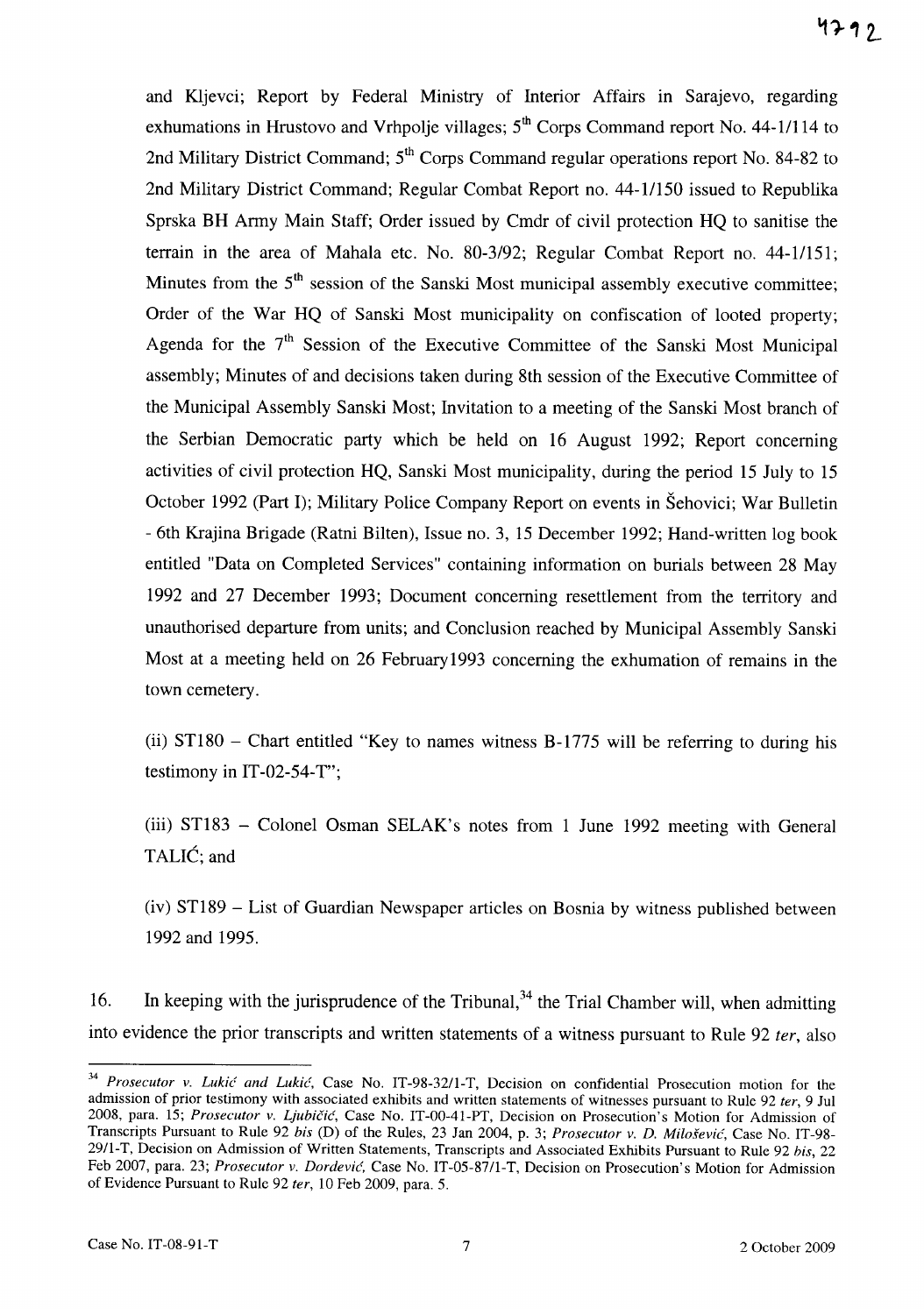and Kljevci; Report by Federal Ministry of Interior Affairs in Sarajevo, regarding exhumations in Hrustovo and Vrhpolje villages; 5<sup>th</sup> Corps Command report No. 44-1/114 to 2nd Military District Command; 5<sup>th</sup> Corps Command regular operations report No. 84-82 to 2nd Military District Command; Regular Combat Report no. 44-11150 issued to Republika Sprska BH Army Main Staff; Order issued by Cmdr of civil protection HQ to sanitise the terrain in the area of Mahala etc. No. 80-3/92; Regular Combat Report no. 44-11151; Minutes from the  $5<sup>th</sup>$  session of the Sanski Most municipal assembly executive committee; Order of the War HQ of Sanski Most municipality on confiscation of looted property; Agenda for the  $7<sup>th</sup>$  Session of the Executive Committee of the Sanski Most Municipal assembly; Minutes of and decisions taken during 8th session of the Executive Committee of the Municipal Assembly Sanski Most; Invitation to a meeting of the Sanski Most branch of the Serbian Democratic party which be held on 16 August 1992; Report concerning activities of civil protection HQ, Sanski Most municipality, during the period 15 July to 15 October 1992 (Part I); Military Police Company Report on events in Sehovici; War Bulletin - 6th Krajina Brigade (Ratni Bilten), Issue no. 3, 15 December 1992; Hand-written log book entitled "Data on Completed Services" containing information on burials between 28 May 1992 and 27 December 1993; Document concerning resettlement from the territory and unauthorised departure from units; and Conclusion reached by Municipal Assembly Sanski Most at a meeting held on 26 February1993 concerning the exhumation of remains in the town cemetery.

(ii)  $ST180$  – Chart entitled "Key to names witness B-1775 will be referring to during his testimony in IT-02-54-T";

(iii) ST183 - Colonel Osman SELAK's notes from 1 June 1992 meeting with General TALIC; and

(iv) ST189 - List of Guardian Newspaper articles on Bosnia by witness published between 1992 and 1995.

16. In keeping with the jurisprudence of the Tribunal,  $34$  the Trial Chamber will, when admitting into evidence the prior transcripts and written statements of a witness pursuant to Rule 92 *ter,* also

<sup>&</sup>lt;sup>34</sup> Prosecutor v. *Lukić and Lukić*, Case No. IT-98-32/1-T, Decision on confidential Prosecution motion for the admission of prior testimony with associated exhibits and written statements of witnesses pursuant to Rule 92 *ter,* 9 Jul 2008, para. 15; Prosecutor v. Ljubičić, Case No. IT-00-41-PT, Decision on Prosecution's Motion for Admission of Transcripts Pursuant to Rule 92 bis (D) of the Rules, 23 Jan 2004, p. 3; Prosecutor v. D. Milošević, Case No. IT-98-29fl-T, Decision on Admission of Written Statements, Transcripts and Associated Exhibits Pursuant to Rule 92 *his, 22*  Feb 2007, para. 23; *Prosecutor* v. *Dordevic.* Case No. IT-05-S7fl-T, Decision on Prosecution's Motion for Admission of Evidence Pursuant to Rule 92 *ter,* 10 Feb 2009, para. 5.